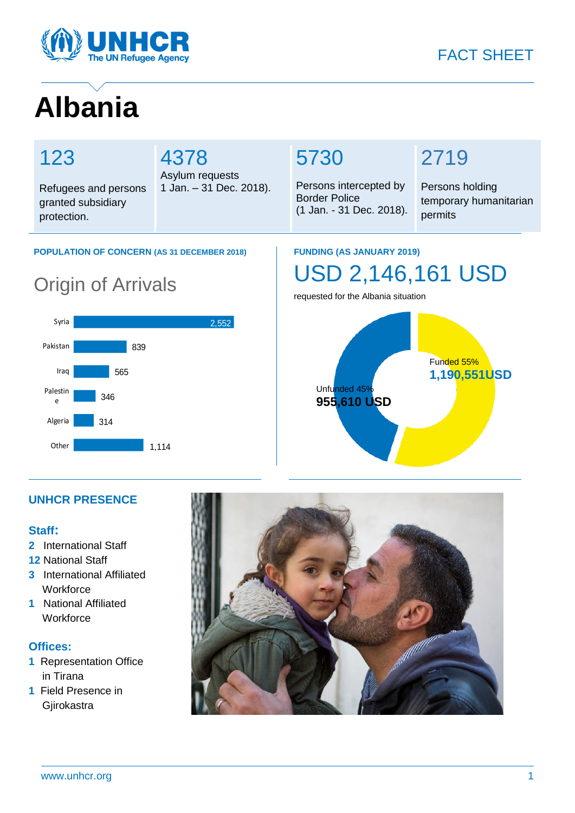

# **Albania**

granted subsidiary

# 123

protection.

# 4378

Refugees and persons Asylum requests 1 Jan. – 31 Dec. 2018).

# 5730

Persons intercepted by Border Police (1 Jan. - 31 Dec. 2018).

# 2719

Persons holding temporary humanitarian permits

### **POPULATION OF CONCERN (AS 31 DECEMBER 2018)**

# Origin of Arrivals



### **FUNDING (AS JANUARY 2019)**

# USD 2,146,161 USD

requested for the Albania situation



## **UNHCR PRESENCE**

### **Staff:**

- **2** International Staff
- **12** National Staff
- **3** International Affiliated **Workforce**
- **1** National Affiliated **Workforce**

### **Offices:**

- **1** Representation Office in Tirana
- **1** Field Presence in **Giirokastra**

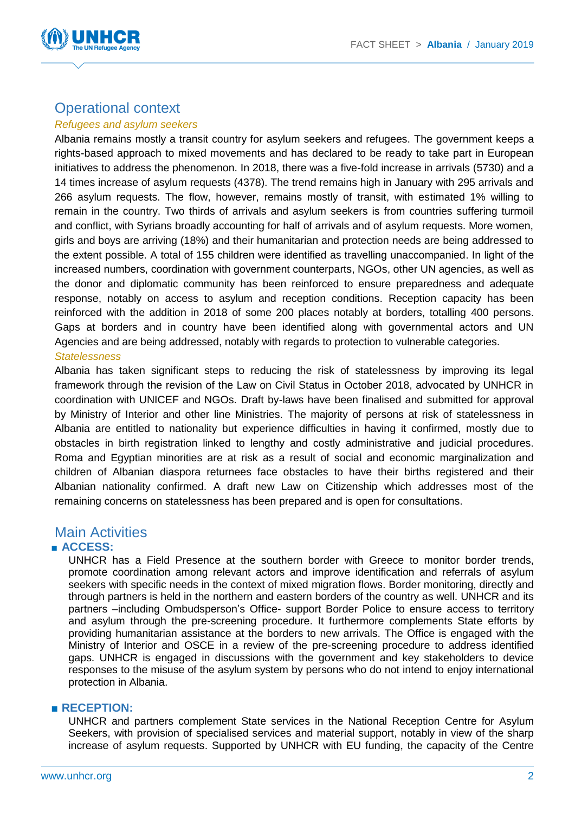

# Operational context

#### *Refugees and asylum seekers*

Albania remains mostly a transit country for asylum seekers and refugees. The government keeps a rights-based approach to mixed movements and has declared to be ready to take part in European initiatives to address the phenomenon. In 2018, there was a five-fold increase in arrivals (5730) and a 14 times increase of asylum requests (4378). The trend remains high in January with 295 arrivals and 266 asylum requests. The flow, however, remains mostly of transit, with estimated 1% willing to remain in the country. Two thirds of arrivals and asylum seekers is from countries suffering turmoil and conflict, with Syrians broadly accounting for half of arrivals and of asylum requests. More women, girls and boys are arriving (18%) and their humanitarian and protection needs are being addressed to the extent possible. A total of 155 children were identified as travelling unaccompanied. In light of the increased numbers, coordination with government counterparts, NGOs, other UN agencies, as well as the donor and diplomatic community has been reinforced to ensure preparedness and adequate response, notably on access to asylum and reception conditions. Reception capacity has been reinforced with the addition in 2018 of some 200 places notably at borders, totalling 400 persons. Gaps at borders and in country have been identified along with governmental actors and UN Agencies and are being addressed, notably with regards to protection to vulnerable categories. *Statelessness*

Albania has taken significant steps to reducing the risk of statelessness by improving its legal framework through the revision of the Law on Civil Status in October 2018, advocated by UNHCR in coordination with UNICEF and NGOs. Draft by-laws have been finalised and submitted for approval by Ministry of Interior and other line Ministries. The majority of persons at risk of statelessness in Albania are entitled to nationality but experience difficulties in having it confirmed, mostly due to obstacles in birth registration linked to lengthy and costly administrative and judicial procedures. Roma and Egyptian minorities are at risk as a result of social and economic marginalization and children of Albanian diaspora returnees face obstacles to have their births registered and their Albanian nationality confirmed. A draft new Law on Citizenship which addresses most of the remaining concerns on statelessness has been prepared and is open for consultations.

## Main Activities

### ■ **ACCESS:**

UNHCR has a Field Presence at the southern border with Greece to monitor border trends, promote coordination among relevant actors and improve identification and referrals of asylum seekers with specific needs in the context of mixed migration flows. Border monitoring, directly and through partners is held in the northern and eastern borders of the country as well. UNHCR and its partners –including Ombudsperson's Office- support Border Police to ensure access to territory and asylum through the pre-screening procedure. It furthermore complements State efforts by providing humanitarian assistance at the borders to new arrivals. The Office is engaged with the Ministry of Interior and OSCE in a review of the pre-screening procedure to address identified gaps. UNHCR is engaged in discussions with the government and key stakeholders to device responses to the misuse of the asylum system by persons who do not intend to enjoy international protection in Albania.

#### ■ **RECEPTION:**

UNHCR and partners complement State services in the National Reception Centre for Asylum Seekers, with provision of specialised services and material support, notably in view of the sharp increase of asylum requests. Supported by UNHCR with EU funding, the capacity of the Centre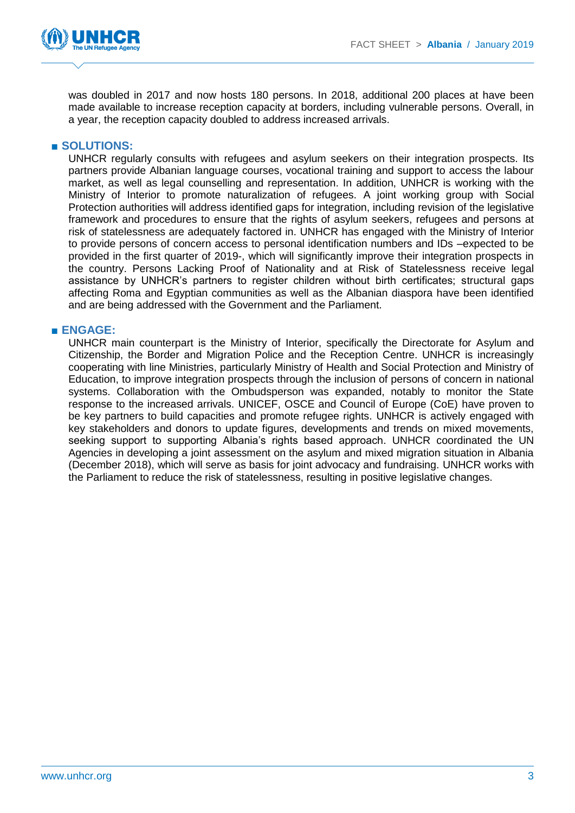



was doubled in 2017 and now hosts 180 persons. In 2018, additional 200 places at have been made available to increase reception capacity at borders, including vulnerable persons. Overall, in a year, the reception capacity doubled to address increased arrivals.

### ■ **SOLUTIONS:**

UNHCR regularly consults with refugees and asylum seekers on their integration prospects. Its partners provide Albanian language courses, vocational training and support to access the labour market, as well as legal counselling and representation. In addition, UNHCR is working with the Ministry of Interior to promote naturalization of refugees. A joint working group with Social Protection authorities will address identified gaps for integration, including revision of the legislative framework and procedures to ensure that the rights of asylum seekers, refugees and persons at risk of statelessness are adequately factored in. UNHCR has engaged with the Ministry of Interior to provide persons of concern access to personal identification numbers and IDs –expected to be provided in the first quarter of 2019-, which will significantly improve their integration prospects in the country. Persons Lacking Proof of Nationality and at Risk of Statelessness receive legal assistance by UNHCR's partners to register children without birth certificates; structural gaps affecting Roma and Egyptian communities as well as the Albanian diaspora have been identified and are being addressed with the Government and the Parliament.

### ■ **ENGAGE:**

UNHCR main counterpart is the Ministry of Interior, specifically the Directorate for Asylum and Citizenship, the Border and Migration Police and the Reception Centre. UNHCR is increasingly cooperating with line Ministries, particularly Ministry of Health and Social Protection and Ministry of Education, to improve integration prospects through the inclusion of persons of concern in national systems. Collaboration with the Ombudsperson was expanded, notably to monitor the State response to the increased arrivals. UNICEF, OSCE and Council of Europe (CoE) have proven to be key partners to build capacities and promote refugee rights. UNHCR is actively engaged with key stakeholders and donors to update figures, developments and trends on mixed movements, seeking support to supporting Albania's rights based approach. UNHCR coordinated the UN Agencies in developing a joint assessment on the asylum and mixed migration situation in Albania (December 2018), which will serve as basis for joint advocacy and fundraising. UNHCR works with the Parliament to reduce the risk of statelessness, resulting in positive legislative changes.